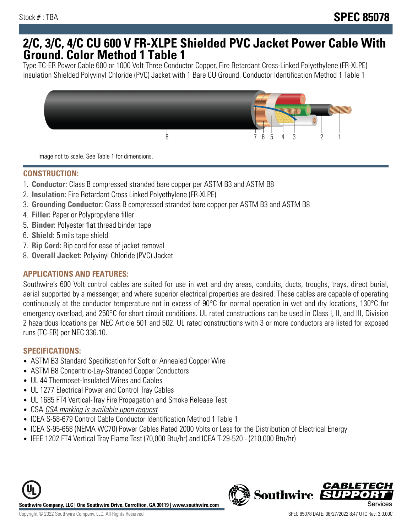## **2/C, 3/C, 4/C CU 600 V FR-XLPE Shielded PVC Jacket Power Cable With Ground. Color Method 1 Table 1**

Type TC-ER Power Cable 600 or 1000 Volt Three Conductor Copper, Fire Retardant Cross-Linked Polyethylene (FR-XLPE) insulation Shielded Polyvinyl Chloride (PVC) Jacket with 1 Bare CU Ground. Conductor Identification Method 1 Table 1



Image not to scale. See Table 1 for dimensions.

#### **CONSTRUCTION:**

- 1. **Conductor:** Class B compressed stranded bare copper per ASTM B3 and ASTM B8
- 2. **Insulation:** Fire Retardant Cross Linked Polyethylene (FR-XLPE)
- 3. **Grounding Conductor:** Class B compressed stranded bare copper per ASTM B3 and ASTM B8
- 4. **Filler:** Paper or Polypropylene filler
- 5. **Binder:** Polyester flat thread binder tape
- 6. **Shield:** 5 mils tape shield
- 7. **Rip Cord:** Rip cord for ease of jacket removal
- 8. **Overall Jacket:** Polyvinyl Chloride (PVC) Jacket

### **APPLICATIONS AND FEATURES:**

Southwire's 600 Volt control cables are suited for use in wet and dry areas, conduits, ducts, troughs, trays, direct burial, aerial supported by a messenger, and where superior electrical properties are desired. These cables are capable of operating continuously at the conductor temperature not in excess of 90°C for normal operation in wet and dry locations, 130°C for emergency overload, and 250°C for short circuit conditions. UL rated constructions can be used in Class I, II, and III, Division 2 hazardous locations per NEC Article 501 and 502. UL rated constructions with 3 or more conductors are listed for exposed runs (TC-ER) per NEC 336.10.

#### **SPECIFICATIONS:**

- ASTM B3 Standard Specification for Soft or Annealed Copper Wire
- ASTM B8 Concentric-Lay-Stranded Copper Conductors
- UL 44 Thermoset-Insulated Wires and Cables
- UL 1277 Electrical Power and Control Tray Cables
- UL 1685 FT4 Vertical-Tray Fire Propagation and Smoke Release Test
- CSA CSA marking is available upon request
- ICEA S-58-679 Control Cable Conductor Identification Method 1 Table 1
- ICEA S-95-658 (NEMA WC70) Power Cables Rated 2000 Volts or Less for the Distribution of Electrical Energy
- IEEE 1202 FT4 Vertical Tray Flame Test (70,000 Btu/hr) and ICEA T-29-520 (210,000 Btu/hr)



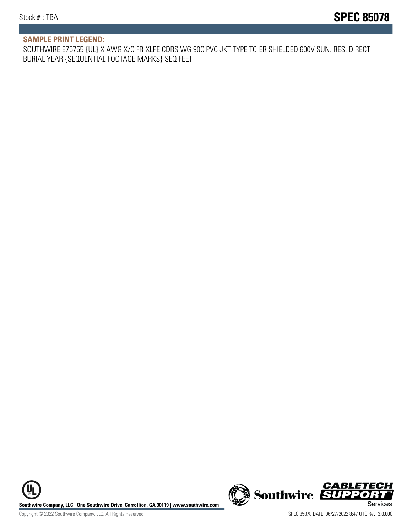#### **SAMPLE PRINT LEGEND:**

SOUTHWIRE E75755 {UL} X AWG X/C FR-XLPE CDRS WG 90C PVC JKT TYPE TC-ER SHIELDED 600V SUN. RES. DIRECT BURIAL YEAR {SEQUENTIAL FOOTAGE MARKS} SEQ FEET

UL **Southwire Company, LLC | One Southwire Drive, Carrollton, GA 30119 | www.southwire.com (New Southwire SUPPORTI**